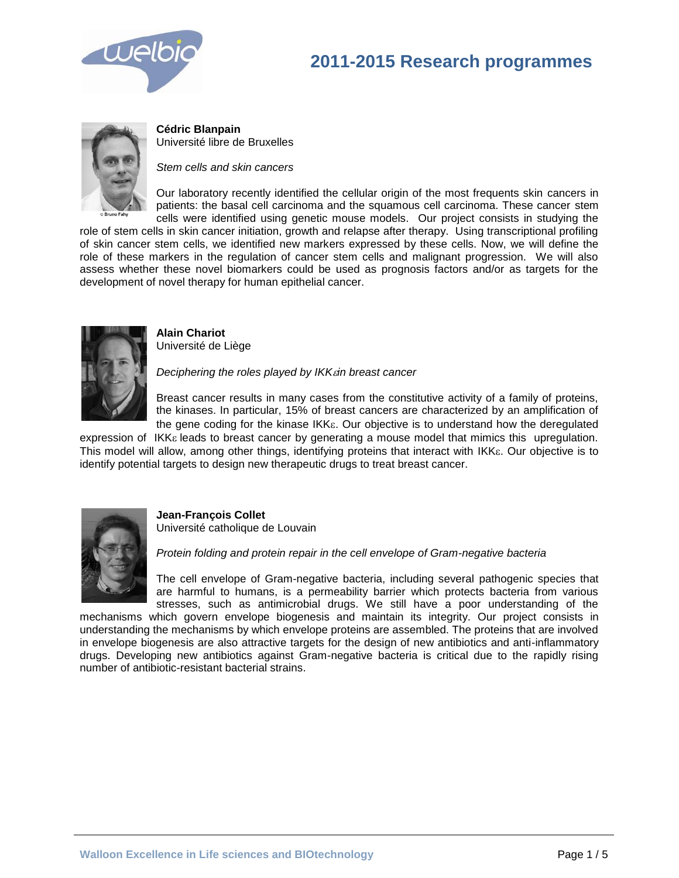



**Cédric Blanpain**  Université libre de Bruxelles

*Stem cells and skin cancers*

Our laboratory recently identified the cellular origin of the most frequents skin cancers in patients: the basal cell carcinoma and the squamous cell carcinoma. These cancer stem cells were identified using genetic mouse models. Our project consists in studying the

role of stem cells in skin cancer initiation, growth and relapse after therapy. Using transcriptional profiling of skin cancer stem cells, we identified new markers expressed by these cells. Now, we will define the role of these markers in the regulation of cancer stem cells and malignant progression. We will also assess whether these novel biomarkers could be used as prognosis factors and/or as targets for the development of novel therapy for human epithelial cancer.



**Alain Chariot**  Université de Liège

*Deciphering the roles played by IKKin breast cancer*

Breast cancer results in many cases from the constitutive activity of a family of proteins, the kinases. In particular, 15% of breast cancers are characterized by an amplification of the gene coding for the kinase IKK<sub>E</sub>. Our objective is to understand how the deregulated

expression of  $IKK<sub>\epsilon</sub>$  leads to breast cancer by generating a mouse model that mimics this upregulation. This model will allow, among other things, identifying proteins that interact with IKK<sub>E</sub>. Our objective is to identify potential targets to design new therapeutic drugs to treat breast cancer.



**Jean-François Collet**  Université catholique de Louvain

*Protein folding and protein repair in the cell envelope of Gram-negative bacteria*

The cell envelope of Gram-negative bacteria, including several pathogenic species that are harmful to humans, is a permeability barrier which protects bacteria from various stresses, such as antimicrobial drugs. We still have a poor understanding of the

mechanisms which govern envelope biogenesis and maintain its integrity. Our project consists in understanding the mechanisms by which envelope proteins are assembled. The proteins that are involved in envelope biogenesis are also attractive targets for the design of new antibiotics and anti-inflammatory drugs. Developing new antibiotics against Gram-negative bacteria is critical due to the rapidly rising number of antibiotic-resistant bacterial strains.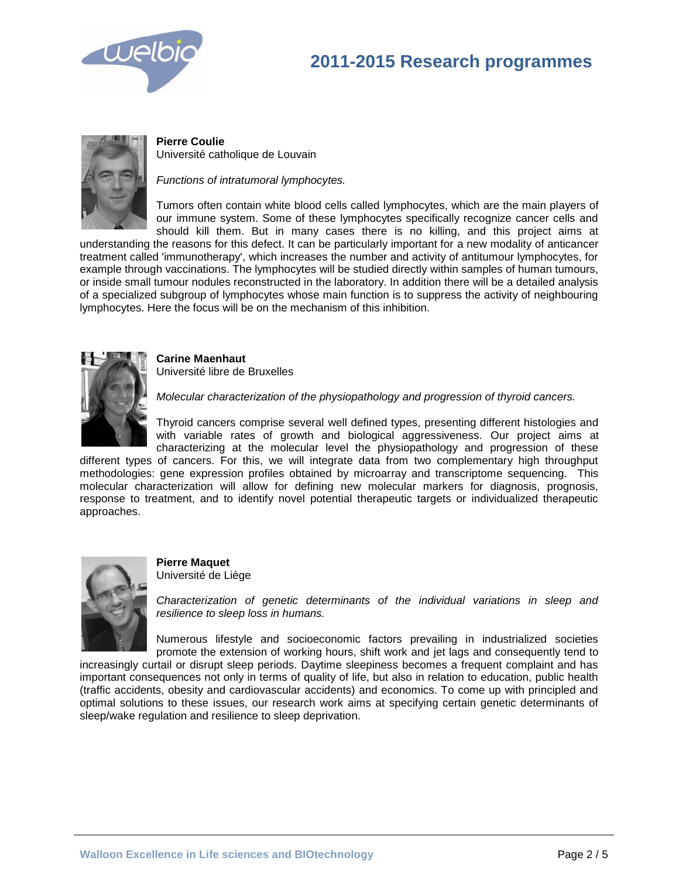



**Pierre Coulie** Université catholique de Louvain

*Functions of intratumoral lymphocytes.*

Tumors often contain white blood cells called lymphocytes, which are the main players of our immune system. Some of these lymphocytes specifically recognize cancer cells and should kill them. But in many cases there is no killing, and this project aims at

understanding the reasons for this defect. It can be particularly important for a new modality of anticancer treatment called 'immunotherapy', which increases the number and activity of antitumour lymphocytes, for example through vaccinations. The lymphocytes will be studied directly within samples of human tumours, or inside small tumour nodules reconstructed in the laboratory. In addition there will be a detailed analysis of a specialized subgroup of lymphocytes whose main function is to suppress the activity of neighbouring lymphocytes. Here the focus will be on the mechanism of this inhibition.



**Carine Maenhaut** Université libre de Bruxelles

*Molecular characterization of the physiopathology and progression of thyroid cancers.*

Thyroid cancers comprise several well defined types, presenting different histologies and with variable rates of growth and biological aggressiveness. Our project aims at characterizing at the molecular level the physiopathology and progression of these

different types of cancers. For this, we will integrate data from two complementary high throughput methodologies: gene expression profiles obtained by microarray and transcriptome sequencing. This molecular characterization will allow for defining new molecular markers for diagnosis, prognosis, response to treatment, and to identify novel potential therapeutic targets or individualized therapeutic approaches.



**Pierre Maquet**

Université de Liège

*Characterization of genetic determinants of the individual variations in sleep and resilience to sleep loss in humans.*

Numerous lifestyle and socioeconomic factors prevailing in industrialized societies promote the extension of working hours, shift work and jet lags and consequently tend to

increasingly curtail or disrupt sleep periods. Daytime sleepiness becomes a frequent complaint and has important consequences not only in terms of quality of life, but also in relation to education, public health (traffic accidents, obesity and cardiovascular accidents) and economics. To come up with principled and optimal solutions to these issues, our research work aims at specifying certain genetic determinants of sleep/wake regulation and resilience to sleep deprivation.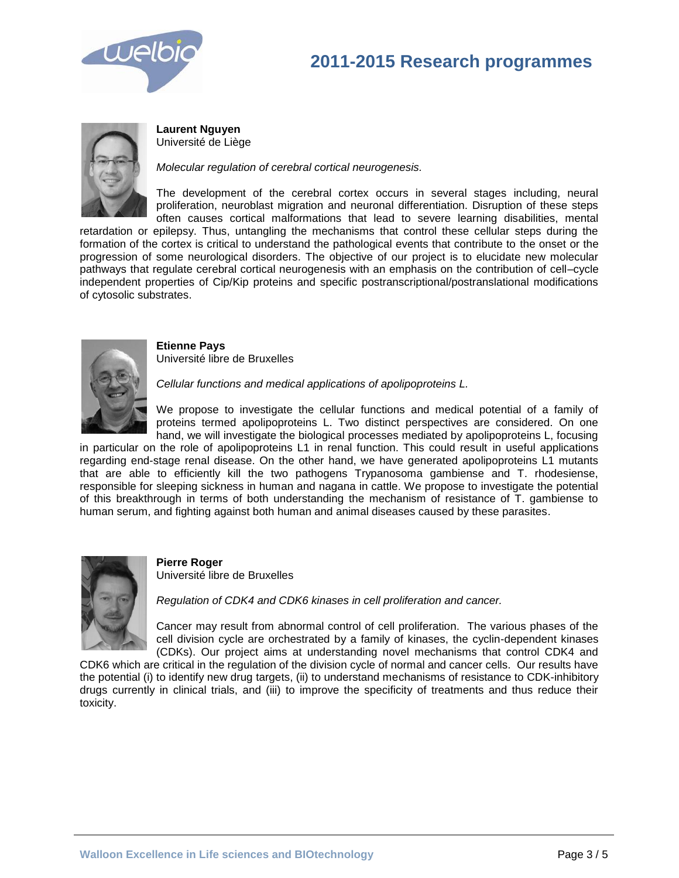



**Laurent Nguyen** Université de Liège

*Molecular regulation of cerebral cortical neurogenesis.* 

The development of the cerebral cortex occurs in several stages including, neural proliferation, neuroblast migration and neuronal differentiation. Disruption of these steps often causes cortical malformations that lead to severe learning disabilities, mental

retardation or epilepsy. Thus, untangling the mechanisms that control these cellular steps during the formation of the cortex is critical to understand the pathological events that contribute to the onset or the progression of some neurological disorders. The objective of our project is to elucidate new molecular pathways that regulate cerebral cortical neurogenesis with an emphasis on the contribution of cell–cycle independent properties of Cip/Kip proteins and specific postranscriptional/postranslational modifications of cytosolic substrates.



**Etienne Pays**  Université libre de Bruxelles

*Cellular functions and medical applications of apolipoproteins L.*

We propose to investigate the cellular functions and medical potential of a family of proteins termed apolipoproteins L. Two distinct perspectives are considered. On one hand, we will investigate the biological processes mediated by apolipoproteins L, focusing

in particular on the role of apolipoproteins L1 in renal function. This could result in useful applications regarding end-stage renal disease. On the other hand, we have generated apolipoproteins L1 mutants that are able to efficiently kill the two pathogens Trypanosoma gambiense and T. rhodesiense, responsible for sleeping sickness in human and nagana in cattle. We propose to investigate the potential of this breakthrough in terms of both understanding the mechanism of resistance of T. gambiense to human serum, and fighting against both human and animal diseases caused by these parasites.



**Pierre Roger** 

Université libre de Bruxelles

*Regulation of CDK4 and CDK6 kinases in cell proliferation and cancer.* 

Cancer may result from abnormal control of cell proliferation. The various phases of the cell division cycle are orchestrated by a family of kinases, the cyclin-dependent kinases (CDKs). Our project aims at understanding novel mechanisms that control CDK4 and

CDK6 which are critical in the regulation of the division cycle of normal and cancer cells. Our results have the potential (i) to identify new drug targets, (ii) to understand mechanisms of resistance to CDK-inhibitory drugs currently in clinical trials, and (iii) to improve the specificity of treatments and thus reduce their toxicity.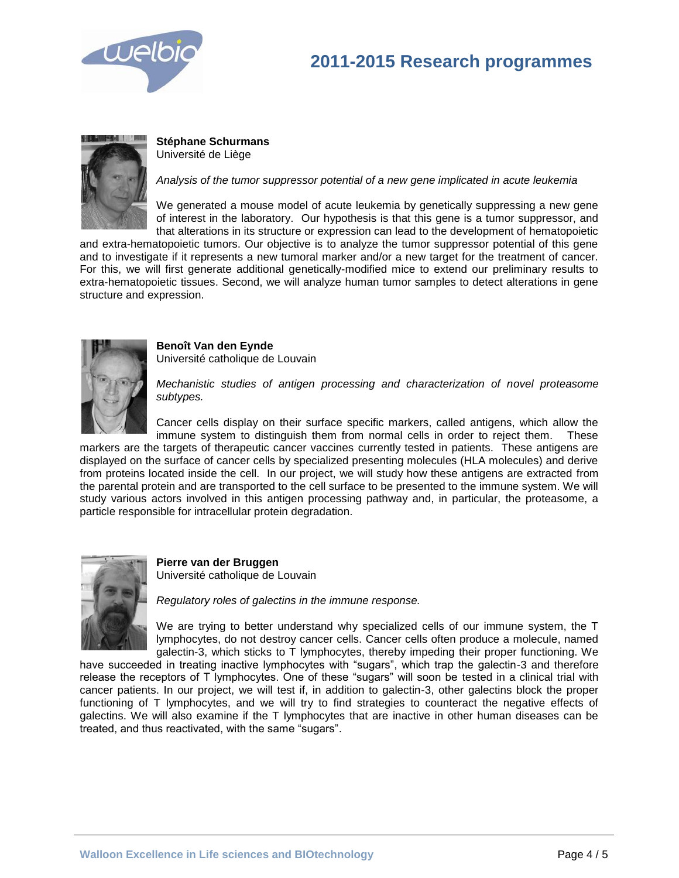



**Stéphane Schurmans** Université de Liège

*Analysis of the tumor suppressor potential of a new gene implicated in acute leukemia*

We generated a mouse model of acute leukemia by genetically suppressing a new gene of interest in the laboratory. Our hypothesis is that this gene is a tumor suppressor, and that alterations in its structure or expression can lead to the development of hematopoietic

and extra-hematopoietic tumors. Our objective is to analyze the tumor suppressor potential of this gene and to investigate if it represents a new tumoral marker and/or a new target for the treatment of cancer. For this, we will first generate additional genetically-modified mice to extend our preliminary results to extra-hematopoietic tissues. Second, we will analyze human tumor samples to detect alterations in gene structure and expression.



**Benoît Van den Eynde** Université catholique de Louvain

*Mechanistic studies of antigen processing and characterization of novel proteasome subtypes.*

Cancer cells display on their surface specific markers, called antigens, which allow the immune system to distinguish them from normal cells in order to reject them. These

markers are the targets of therapeutic cancer vaccines currently tested in patients. These antigens are displayed on the surface of cancer cells by specialized presenting molecules (HLA molecules) and derive from proteins located inside the cell. In our project, we will study how these antigens are extracted from the parental protein and are transported to the cell surface to be presented to the immune system. We will study various actors involved in this antigen processing pathway and, in particular, the proteasome, a particle responsible for intracellular protein degradation.



**Pierre van der Bruggen** Université catholique de Louvain

*Regulatory roles of galectins in the immune response.*

We are trying to better understand why specialized cells of our immune system, the T lymphocytes, do not destroy cancer cells. Cancer cells often produce a molecule, named galectin-3, which sticks to T lymphocytes, thereby impeding their proper functioning. We

have succeeded in treating inactive lymphocytes with "sugars", which trap the galectin-3 and therefore release the receptors of T lymphocytes. One of these "sugars" will soon be tested in a clinical trial with cancer patients. In our project, we will test if, in addition to galectin-3, other galectins block the proper functioning of T lymphocytes, and we will try to find strategies to counteract the negative effects of galectins. We will also examine if the T lymphocytes that are inactive in other human diseases can be treated, and thus reactivated, with the same "sugars".